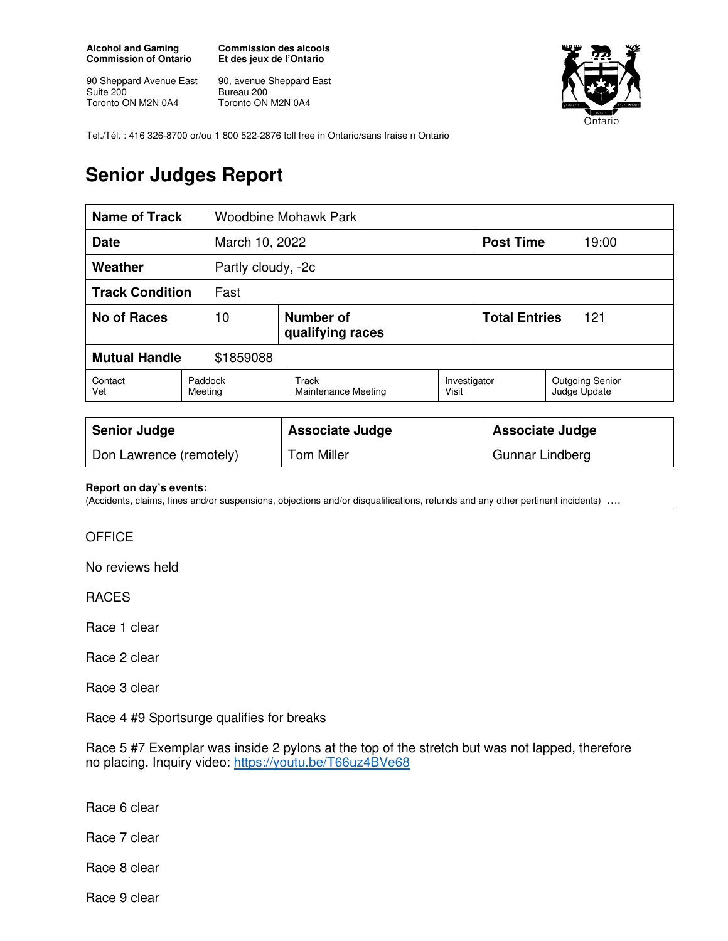**Alcohol and Gaming Commission of Ontario** 

90 Sheppard Avenue East Suite 200 Toronto ON M2N 0A4

**Commission des alcools Et des jeux de l'Ontario** 

90, avenue Sheppard East Bureau 200 Toronto ON M2N 0A4



Tel./Tél. : 416 326-8700 or/ou 1 800 522-2876 toll free in Ontario/sans fraise n Ontario

## **Senior Judges Report**

| <b>Name of Track</b>              |                    | <b>Woodbine Mohawk Park</b>   |                       |                             |                                        |
|-----------------------------------|--------------------|-------------------------------|-----------------------|-----------------------------|----------------------------------------|
| March 10, 2022<br><b>Date</b>     |                    |                               |                       | <b>Post Time</b>            | 19:00                                  |
| Weather<br>Partly cloudy, -2c     |                    |                               |                       |                             |                                        |
| <b>Track Condition</b>            | Fast               |                               |                       |                             |                                        |
| <b>No of Races</b>                | 10                 | Number of<br>qualifying races |                       | <b>Total Entries</b><br>121 |                                        |
| <b>Mutual Handle</b><br>\$1859088 |                    |                               |                       |                             |                                        |
| Contact<br>Vet                    | Paddock<br>Meeting | Track<br>Maintenance Meeting  | Investigator<br>Visit |                             | <b>Outgoing Senior</b><br>Judge Update |
| <b>Senior Judge</b>               |                    | <b>Associate Judge</b>        |                       | <b>Associate Judge</b>      |                                        |

## **Report on day's events:**

(Accidents, claims, fines and/or suspensions, objections and/or disqualifications, refunds and any other pertinent incidents)

Don Lawrence (remotely) Tom Miller Fig. 2014 | Gunnar Lindberg

## **OFFICE**

No reviews held

RACES

Race 1 clear

Race 2 clear

Race 3 clear

Race 4 #9 Sportsurge qualifies for breaks

Race 5 #7 Exemplar was inside 2 pylons at the top of the stretch but was not lapped, therefore no placing. Inquiry video: https://youtu.be/T66uz4BVe68

Race 6 clear

Race 7 clear

Race 8 clear

Race 9 clear